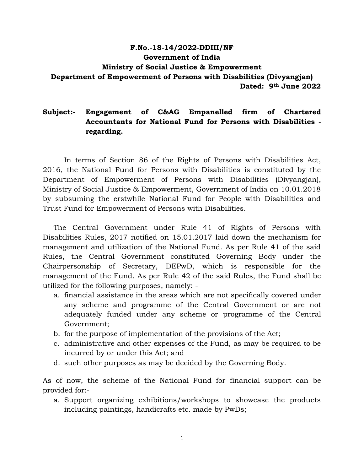### **F.No.-18-14/2022-DDIII/NF Government of India Ministry of Social Justice & Empowerment Department of Empowerment of Persons with Disabilities (Divyangjan) Dated: 9th June 2022**

### **Subject:- Engagement of C&AG Empanelled firm of Chartered Accountants for National Fund for Persons with Disabilities regarding.**

In terms of Section 86 of the Rights of Persons with Disabilities Act, 2016, the National Fund for Persons with Disabilities is constituted by the Department of Empowerment of Persons with Disabilities (Divyangjan), Ministry of Social Justice & Empowerment, Government of India on 10.01.2018 by subsuming the erstwhile National Fund for People with Disabilities and Trust Fund for Empowerment of Persons with Disabilities.

The Central Government under Rule 41 of Rights of Persons with Disabilities Rules, 2017 notified on 15.01.2017 laid down the mechanism for management and utilization of the National Fund. As per Rule 41 of the said Rules, the Central Government constituted Governing Body under the Chairpersonship of Secretary, DEPwD, which is responsible for the management of the Fund. As per Rule 42 of the said Rules, the Fund shall be utilized for the following purposes, namely: -

- a. financial assistance in the areas which are not specifically covered under any scheme and programme of the Central Government or are not adequately funded under any scheme or programme of the Central Government;
- b. for the purpose of implementation of the provisions of the Act;
- c. administrative and other expenses of the Fund, as may be required to be incurred by or under this Act; and
- d. such other purposes as may be decided by the Governing Body.

As of now, the scheme of the National Fund for financial support can be provided for:-

a. Support organizing exhibitions/workshops to showcase the products including paintings, handicrafts etc. made by PwDs;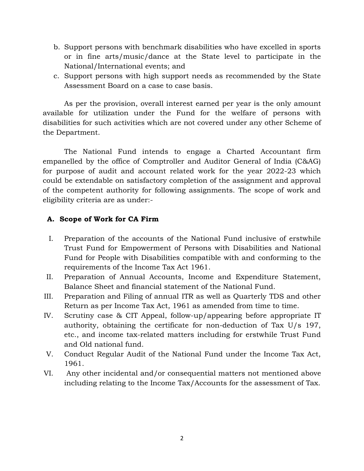- b. Support persons with benchmark disabilities who have excelled in sports or in fine arts/music/dance at the State level to participate in the National/International events; and
- c. Support persons with high support needs as recommended by the State Assessment Board on a case to case basis.

As per the provision, overall interest earned per year is the only amount available for utilization under the Fund for the welfare of persons with disabilities for such activities which are not covered under any other Scheme of the Department.

The National Fund intends to engage a Charted Accountant firm empanelled by the office of Comptroller and Auditor General of India (C&AG) for purpose of audit and account related work for the year 2022-23 which could be extendable on satisfactory completion of the assignment and approval of the competent authority for following assignments. The scope of work and eligibility criteria are as under:-

## **A. Scope of Work for CA Firm**

- I. Preparation of the accounts of the National Fund inclusive of erstwhile Trust Fund for Empowerment of Persons with Disabilities and National Fund for People with Disabilities compatible with and conforming to the requirements of the Income Tax Act 1961.
- II. Preparation of Annual Accounts, Income and Expenditure Statement, Balance Sheet and financial statement of the National Fund.
- III. Preparation and Filing of annual ITR as well as Quarterly TDS and other Return as per Income Tax Act, 1961 as amended from time to time.
- IV. Scrutiny case & CIT Appeal, follow-up/appearing before appropriate IT authority, obtaining the certificate for non-deduction of Tax U/s 197, etc., and income tax-related matters including for erstwhile Trust Fund and Old national fund.
- V. Conduct Regular Audit of the National Fund under the Income Tax Act, 1961.
- VI. Any other incidental and/or consequential matters not mentioned above including relating to the Income Tax/Accounts for the assessment of Tax.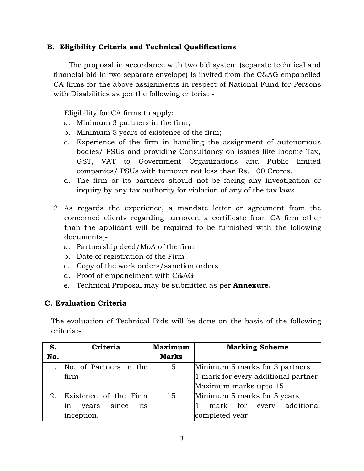### **B. Eligibility Criteria and Technical Qualifications**

 The proposal in accordance with two bid system (separate technical and financial bid in two separate envelope) is invited from the C&AG empanelled CA firms for the above assignments in respect of National Fund for Persons with Disabilities as per the following criteria: -

- 1. Eligibility for CA firms to apply:
	- a. Minimum 3 partners in the firm;
	- b. Minimum 5 years of existence of the firm;
	- c. Experience of the firm in handling the assignment of autonomous bodies/ PSUs and providing Consultancy on issues like Income Tax, GST, VAT to Government Organizations and Public limited companies/ PSUs with turnover not less than Rs. 100 Crores.
	- d. The firm or its partners should not be facing any investigation or inquiry by any tax authority for violation of any of the tax laws.
- 2. As regards the experience, a mandate letter or agreement from the concerned clients regarding turnover, a certificate from CA firm other than the applicant will be required to be furnished with the following documents;
	- a. Partnership deed/MoA of the firm
	- b. Date of registration of the Firm
	- c. Copy of the work orders/sanction orders
	- d. Proof of empanelment with C&AG
	- e. Technical Proposal may be submitted as per **Annexure.**

### **C. Evaluation Criteria**

The evaluation of Technical Bids will be done on the basis of the following criteria:-

| S.  | Criteria                    | <b>Maximum</b> | <b>Marking Scheme</b>               |
|-----|-----------------------------|----------------|-------------------------------------|
| No. |                             | <b>Marks</b>   |                                     |
|     | No. of Partners in the      | 15             | Minimum 5 marks for 3 partners      |
|     | firm                        |                | 1 mark for every additional partner |
|     |                             |                | Maximum marks upto 15               |
| 2.  | Existence of the Firm       | 15             | Minimum 5 marks for 5 years         |
|     | its<br>since<br>years<br>ın |                | additional<br>mark for every        |
|     | inception.                  |                | completed year                      |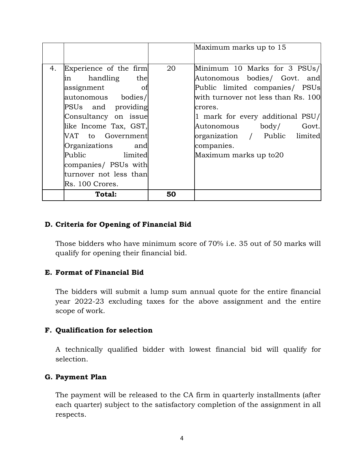|    |                                                                                                                                                                                                                                                                                               |    | Maximum marks up to 15                                                                                                                                                                                                                                                                 |
|----|-----------------------------------------------------------------------------------------------------------------------------------------------------------------------------------------------------------------------------------------------------------------------------------------------|----|----------------------------------------------------------------------------------------------------------------------------------------------------------------------------------------------------------------------------------------------------------------------------------------|
| 4. | Experience of the firm<br>in handling the<br>assignment<br>- of<br>autonomous bodies/<br>PSUs and providing<br>Consultancy on issue<br>like Income Tax, GST,<br>VAT to Government<br>Organizations and<br>Public limited<br>companies/ PSUs with<br>turnover not less than<br>Rs. 100 Crores. | 20 | Minimum 10 Marks for 3 PSUs/<br>Autonomous bodies/ Govt. and<br>Public limited companies/ PSUs<br>with turnover not less than Rs. 100<br>crores.<br>1 mark for every additional PSU/<br>Autonomous body/ Govt.<br>organization / Public limited<br>companies.<br>Maximum marks up to20 |
|    | Total:                                                                                                                                                                                                                                                                                        | 50 |                                                                                                                                                                                                                                                                                        |

#### **D. Criteria for Opening of Financial Bid**

Those bidders who have minimum score of 70% i.e. 35 out of 50 marks will qualify for opening their financial bid.

#### **E. Format of Financial Bid**

The bidders will submit a lump sum annual quote for the entire financial year 2022-23 excluding taxes for the above assignment and the entire scope of work.

#### **F. Qualification for selection**

A technically qualified bidder with lowest financial bid will qualify for selection.

#### **G. Payment Plan**

The payment will be released to the CA firm in quarterly installments (after each quarter) subject to the satisfactory completion of the assignment in all respects.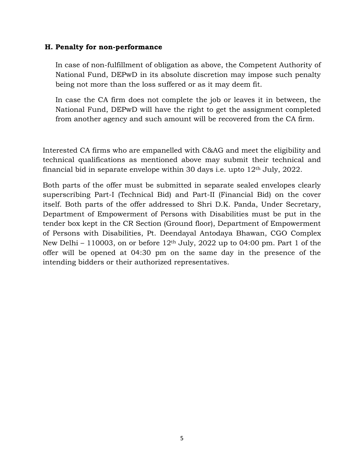#### **H. Penalty for non-performance**

In case of non-fulfillment of obligation as above, the Competent Authority of National Fund, DEPwD in its absolute discretion may impose such penalty being not more than the loss suffered or as it may deem fit.

In case the CA firm does not complete the job or leaves it in between, the National Fund, DEPwD will have the right to get the assignment completed from another agency and such amount will be recovered from the CA firm.

Interested CA firms who are empanelled with C&AG and meet the eligibility and technical qualifications as mentioned above may submit their technical and financial bid in separate envelope within 30 days i.e. upto  $12<sup>th</sup>$  July, 2022.

Both parts of the offer must be submitted in separate sealed envelopes clearly superscribing Part-I (Technical Bid) and Part-II (Financial Bid) on the cover itself. Both parts of the offer addressed to Shri D.K. Panda, Under Secretary, Department of Empowerment of Persons with Disabilities must be put in the tender box kept in the CR Section (Ground floor), Department of Empowerment of Persons with Disabilities, Pt. Deendayal Antodaya Bhawan, CGO Complex New Delhi – 110003, on or before  $12<sup>th</sup>$  July, 2022 up to 04:00 pm. Part 1 of the offer will be opened at 04:30 pm on the same day in the presence of the intending bidders or their authorized representatives.